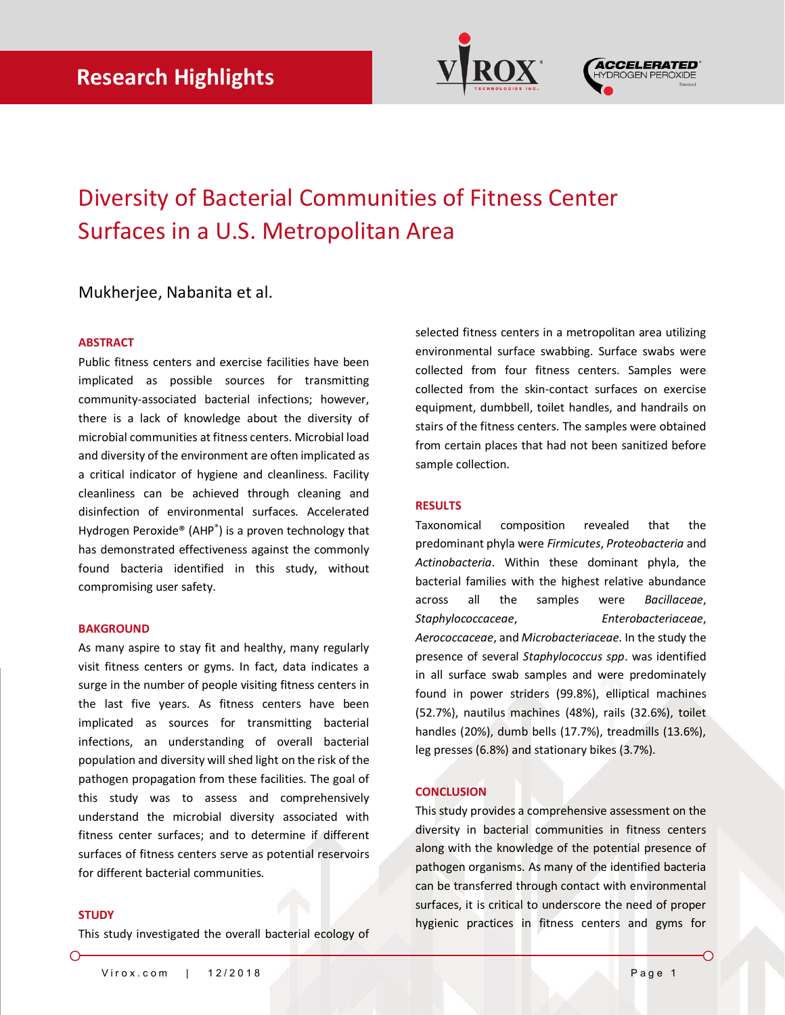



## Diversity of Bacterial Communities of Fitness Center Surfaces in a U.S. Metropolitan Area

### Mukherjee, Nabanita et al.

### **ABSTRACT**

Public fitness centers and exercise facilities have been implicated as possible sources for transmitting community-associated bacterial infections; however, there is a lack of knowledge about the diversity of microbial communities at fitness centers. Microbial load and diversity of the environment are often implicated as a critical indicator of hygiene and cleanliness. Facility cleanliness can be achieved through cleaning and disinfection of environmental surfaces. Accelerated Hydrogen Peroxide® (AHP® ) is a proven technology that has demonstrated effectiveness against the commonly found bacteria identified in this study, without compromising user safety.

#### **BAKGROUND**

As many aspire to stay fit and healthy, many regularly visit fitness centers or gyms. In fact, data indicates a surge in the number of people visiting fitness centers in the last five years. As fitness centers have been implicated as sources for transmitting bacterial infections, an understanding of overall bacterial population and diversity will shed light on the risk of the pathogen propagation from these facilities. The goal of this study was to assess and comprehensively understand the microbial diversity associated with fitness center surfaces; and to determine if different surfaces of fitness centers serve as potential reservoirs for different bacterial communities.

#### **STUDY**

◯

This study investigated the overall bacterial ecology of

selected fitness centers in a metropolitan area utilizing environmental surface swabbing. Surface swabs were collected from four fitness centers. Samples were collected from the skin-contact surfaces on exercise equipment, dumbbell, toilet handles, and handrails on stairs of the fitness centers. The samples were obtained from certain places that had not been sanitized before sample collection.

#### **RESULTS**

Taxonomical composition revealed that the predominant phyla were *Firmicutes*, *Proteobacteria* and *Actinobacteria*. Within these dominant phyla, the bacterial families with the highest relative abundance across all the samples were *Bacillaceae*, *Staphylococcaceae*, *Enterobacteriaceae*, *Aerococcaceae*, and *Microbacteriaceae*. In the study the presence of several *Staphylococcus spp*. was identified in all surface swab samples and were predominately found in power striders (99.8%), elliptical machines (52.7%), nautilus machines (48%), rails (32.6%), toilet handles (20%), dumb bells (17.7%), treadmills (13.6%), leg presses (6.8%) and stationary bikes (3.7%).

#### **CONCLUSION**

This study provides a comprehensive assessment on the diversity in bacterial communities in fitness centers along with the knowledge of the potential presence of pathogen organisms. As many of the identified bacteria can be transferred through contact with environmental surfaces, it is critical to underscore the need of proper hygienic practices in fitness centers and gyms for